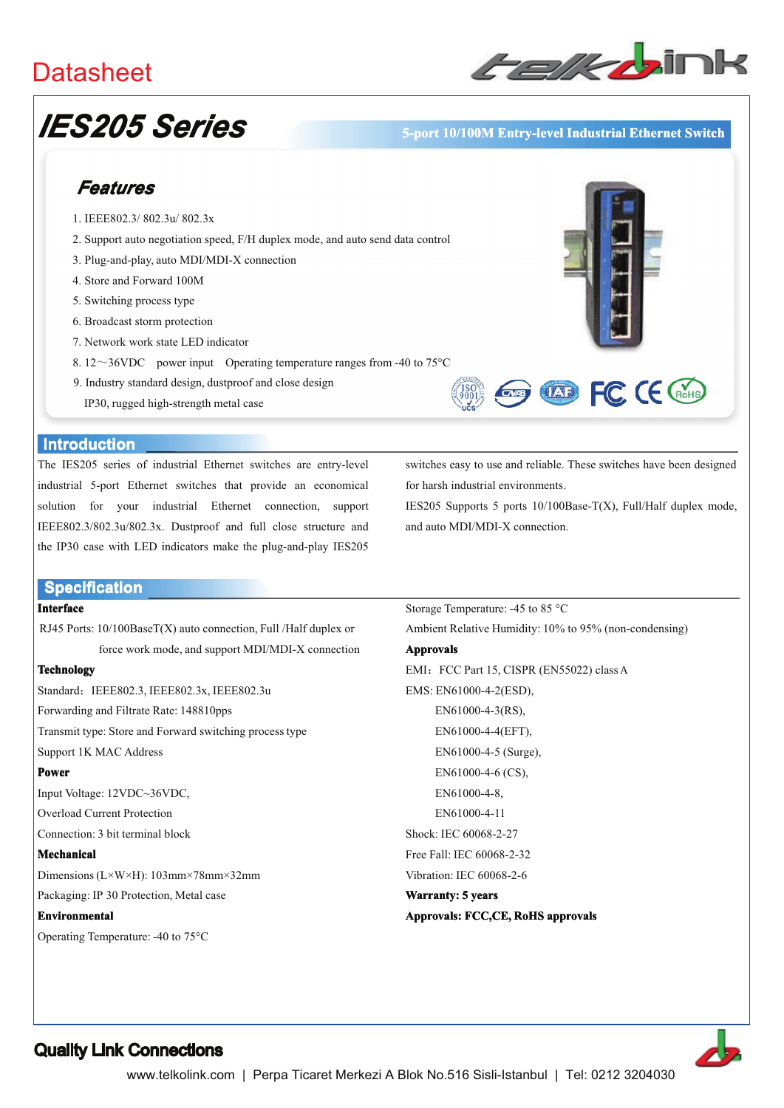## **Datasheet**



# **IES205 Series**

#### 5-port 10/100M Entry-level Industrial Ethernet Switch

## Features

- 1. IEEE802.3/802.3u/802.3x
- 2. Support auto negotiation speed, F/H duplex mode, and auto send data control
- 3. Plug-and-play, auto MDI/MDI-X connection
- 4. Store and Forward 100M
- 5. Switching process type
- 6. Broadcast storm protection
- 7. Network work state LED indicator
- 8.12~36VDC power input Operating temperature ranges from -40 to 75 $^{\circ}$ C
- 9. Industry standard design, dustproof and close design
	- IP30, rugged high-strength metal case





#### **Introduction**

The IES205 series of industrial Ethernet switches are entry-level industrial 5-port Ethernet switches that provide an economical solution for your industrial Ethernet connection, support IEEE802.3/802.3u/802.3x. Dustproof and full close structure and the IP30 case with LED indicators make the plug-and-play IES205

switches easy to use and reliable. These switches have been designed for harsh industrial environments.

IES205 Supports 5 ports 10/100Base-T(X), Full/Half duplex mode, and auto MDI/MDI-X connection.

#### **Specification**

#### **Interface**

RJ45 Ports: 10/100BaseT(X) auto connection, Full /Half duplex or force work mode, and support MDI/MDI-X connection

#### **Technology**

Standard: IEEE802.3, IEEE802.3x, IEEE802.3u

Forwarding and Filtrate Rate: 148810pps

Transmit type: Store and Forward switching process type

#### Support 1K MAC Address

#### **Power**

Input Voltage: 12VDC~36VDC,

Overload Current Protection

Connection: 3 bit terminal block

#### **Mechanical**

Dimensions ( $L \times W \times H$ ): 103mm×78mm×32mm

Packaging: IP 30 Protection, Metal case

#### **Environmental**

Operating Temperature: -40 to 75°C

Storage Temperature: -45 to 85 °C Ambient Relative Humidity: 10% to 95% (non-condensing) **Approvals** EMI: FCC Part 15, CISPR (EN55022) class A EMS: EN61000-4-2(ESD), EN61000-4-3(RS), EN61000-4-4(EFT). EN61000-4-5 (Surge), EN61000-4-6 (CS). EN61000-4-8, EN61000-4-11 Shock: IEC 60068-2-27 Free Fall: IEC 60068-2-32 Vibration: IEC 60068-2-6 Warranty: 5 years

#### Approvals: FCC,CE, RoHS approvals